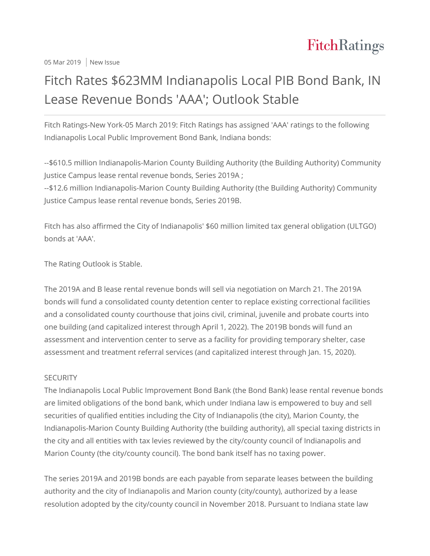05 Mar 2019 | New Issue

# Fitch Rates \$623MM Indianapolis Local PIB Bond Bank, IN Lease Revenue Bonds 'AAA'; Outlook Stable

Fitch Ratings-New York-05 March 2019: Fitch Ratings has assigned 'AAA' ratings to the following Indianapolis Local Public Improvement Bond Bank, Indiana bonds:

--\$610.5 million Indianapolis-Marion County Building Authority (the Building Authority) Community Justice Campus lease rental revenue bonds, Series 2019A ;

--\$12.6 million Indianapolis-Marion County Building Authority (the Building Authority) Community Justice Campus lease rental revenue bonds, Series 2019B.

Fitch has also affirmed the City of Indianapolis' \$60 million limited tax general obligation (ULTGO) bonds at 'AAA'.

The Rating Outlook is Stable.

The 2019A and B lease rental revenue bonds will sell via negotiation on March 21. The 2019A bonds will fund a consolidated county detention center to replace existing correctional facilities and a consolidated county courthouse that joins civil, criminal, juvenile and probate courts into one building (and capitalized interest through April 1, 2022). The 2019B bonds will fund an assessment and intervention center to serve as a facility for providing temporary shelter, case assessment and treatment referral services (and capitalized interest through Jan. 15, 2020).

# **SECURITY**

The Indianapolis Local Public Improvement Bond Bank (the Bond Bank) lease rental revenue bonds are limited obligations of the bond bank, which under Indiana law is empowered to buy and sell securities of qualified entities including the City of Indianapolis (the city), Marion County, the Indianapolis-Marion County Building Authority (the building authority), all special taxing districts in the city and all entities with tax levies reviewed by the city/county council of Indianapolis and Marion County (the city/county council). The bond bank itself has no taxing power.

The series 2019A and 2019B bonds are each payable from separate leases between the building authority and the city of Indianapolis and Marion county (city/county), authorized by a lease resolution adopted by the city/county council in November 2018. Pursuant to Indiana state law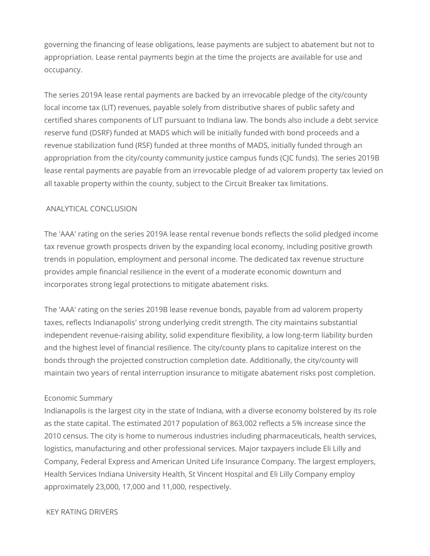governing the financing of lease obligations, lease payments are subject to abatement but not to appropriation. Lease rental payments begin at the time the projects are available for use and occupancy.

The series 2019A lease rental payments are backed by an irrevocable pledge of the city/county local income tax (LIT) revenues, payable solely from distributive shares of public safety and certified shares components of LIT pursuant to Indiana law. The bonds also include a debt service reserve fund (DSRF) funded at MADS which will be initially funded with bond proceeds and a revenue stabilization fund (RSF) funded at three months of MADS, initially funded through an appropriation from the city/county community justice campus funds (CJC funds). The series 2019B lease rental payments are payable from an irrevocable pledge of ad valorem property tax levied on all taxable property within the county, subject to the Circuit Breaker tax limitations.

## ANALYTICAL CONCLUSION

The 'AAA' rating on the series 2019A lease rental revenue bonds reflects the solid pledged income tax revenue growth prospects driven by the expanding local economy, including positive growth trends in population, employment and personal income. The dedicated tax revenue structure provides ample financial resilience in the event of a moderate economic downturn and incorporates strong legal protections to mitigate abatement risks.

The 'AAA' rating on the series 2019B lease revenue bonds, payable from ad valorem property taxes, reflects Indianapolis' strong underlying credit strength. The city maintains substantial independent revenue-raising ability, solid expenditure flexibility, a low long-term liability burden and the highest level of financial resilience. The city/county plans to capitalize interest on the bonds through the projected construction completion date. Additionally, the city/county will maintain two years of rental interruption insurance to mitigate abatement risks post completion.

# Economic Summary

Indianapolis is the largest city in the state of Indiana, with a diverse economy bolstered by its role as the state capital. The estimated 2017 population of 863,002 reflects a 5% increase since the 2010 census. The city is home to numerous industries including pharmaceuticals, health services, logistics, manufacturing and other professional services. Major taxpayers include Eli Lilly and Company, Federal Express and American United Life Insurance Company. The largest employers, Health Services Indiana University Health, St Vincent Hospital and Eli Lilly Company employ approximately 23,000, 17,000 and 11,000, respectively.

## KEY RATING DRIVERS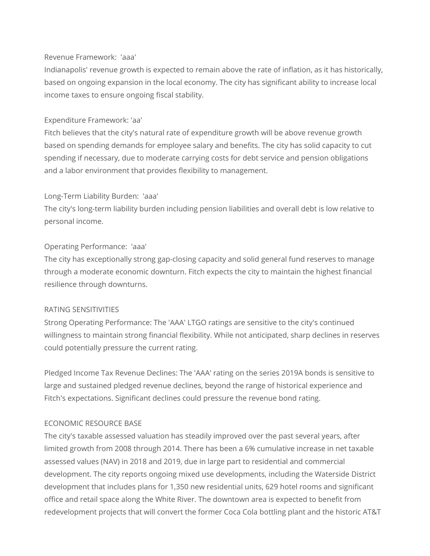## Revenue Framework: 'aaa'

Indianapolis' revenue growth is expected to remain above the rate of inflation, as it has historically, based on ongoing expansion in the local economy. The city has significant ability to increase local income taxes to ensure ongoing fiscal stability.

## Expenditure Framework: 'aa'

Fitch believes that the city's natural rate of expenditure growth will be above revenue growth based on spending demands for employee salary and benefits. The city has solid capacity to cut spending if necessary, due to moderate carrying costs for debt service and pension obligations and a labor environment that provides flexibility to management.

# Long-Term Liability Burden: 'aaa'

The city's long-term liability burden including pension liabilities and overall debt is low relative to personal income.

## Operating Performance: 'aaa'

The city has exceptionally strong gap-closing capacity and solid general fund reserves to manage through a moderate economic downturn. Fitch expects the city to maintain the highest financial resilience through downturns.

## RATING SENSITIVITIES

Strong Operating Performance: The 'AAA' LTGO ratings are sensitive to the city's continued willingness to maintain strong financial flexibility. While not anticipated, sharp declines in reserves could potentially pressure the current rating.

Pledged Income Tax Revenue Declines: The 'AAA' rating on the series 2019A bonds is sensitive to large and sustained pledged revenue declines, beyond the range of historical experience and Fitch's expectations. Significant declines could pressure the revenue bond rating.

# ECONOMIC RESOURCE BASE

The city's taxable assessed valuation has steadily improved over the past several years, after limited growth from 2008 through 2014. There has been a 6% cumulative increase in net taxable assessed values (NAV) in 2018 and 2019, due in large part to residential and commercial development. The city reports ongoing mixed use developments, including the Waterside District development that includes plans for 1,350 new residential units, 629 hotel rooms and significant office and retail space along the White River. The downtown area is expected to benefit from redevelopment projects that will convert the former Coca Cola bottling plant and the historic AT&T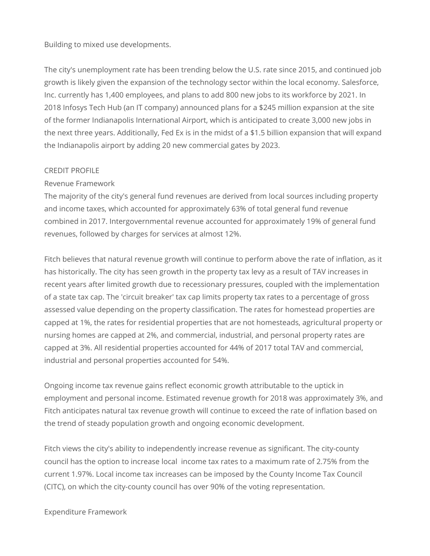Building to mixed use developments.

The city's unemployment rate has been trending below the U.S. rate since 2015, and continued job growth is likely given the expansion of the technology sector within the local economy. Salesforce, Inc. currently has 1,400 employees, and plans to add 800 new jobs to its workforce by 2021. In 2018 Infosys Tech Hub (an IT company) announced plans for a \$245 million expansion at the site of the former Indianapolis International Airport, which is anticipated to create 3,000 new jobs in the next three years. Additionally, Fed Ex is in the midst of a \$1.5 billion expansion that will expand the Indianapolis airport by adding 20 new commercial gates by 2023.

## CREDIT PROFILE

## Revenue Framework

The majority of the city's general fund revenues are derived from local sources including property and income taxes, which accounted for approximately 63% of total general fund revenue combined in 2017. Intergovernmental revenue accounted for approximately 19% of general fund revenues, followed by charges for services at almost 12%.

Fitch believes that natural revenue growth will continue to perform above the rate of inflation, as it has historically. The city has seen growth in the property tax levy as a result of TAV increases in recent years after limited growth due to recessionary pressures, coupled with the implementation of a state tax cap. The 'circuit breaker' tax cap limits property tax rates to a percentage of gross assessed value depending on the property classification. The rates for homestead properties are capped at 1%, the rates for residential properties that are not homesteads, agricultural property or nursing homes are capped at 2%, and commercial, industrial, and personal property rates are capped at 3%. All residential properties accounted for 44% of 2017 total TAV and commercial, industrial and personal properties accounted for 54%.

Ongoing income tax revenue gains reflect economic growth attributable to the uptick in employment and personal income. Estimated revenue growth for 2018 was approximately 3%, and Fitch anticipates natural tax revenue growth will continue to exceed the rate of inflation based on the trend of steady population growth and ongoing economic development.

Fitch views the city's ability to independently increase revenue as significant. The city-county council has the option to increase local income tax rates to a maximum rate of 2.75% from the current 1.97%. Local income tax increases can be imposed by the County Income Tax Council (CITC), on which the city-county council has over 90% of the voting representation.

Expenditure Framework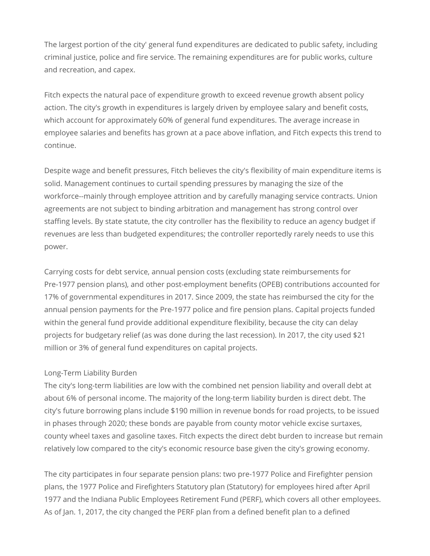The largest portion of the city' general fund expenditures are dedicated to public safety, including criminal justice, police and fire service. The remaining expenditures are for public works, culture and recreation, and capex.

Fitch expects the natural pace of expenditure growth to exceed revenue growth absent policy action. The city's growth in expenditures is largely driven by employee salary and benefit costs, which account for approximately 60% of general fund expenditures. The average increase in employee salaries and benefits has grown at a pace above inflation, and Fitch expects this trend to continue.

Despite wage and benefit pressures, Fitch believes the city's flexibility of main expenditure items is solid. Management continues to curtail spending pressures by managing the size of the workforce--mainly through employee attrition and by carefully managing service contracts. Union agreements are not subject to binding arbitration and management has strong control over staffing levels. By state statute, the city controller has the flexibility to reduce an agency budget if revenues are less than budgeted expenditures; the controller reportedly rarely needs to use this power.

Carrying costs for debt service, annual pension costs (excluding state reimbursements for Pre-1977 pension plans), and other post-employment benefits (OPEB) contributions accounted for 17% of governmental expenditures in 2017. Since 2009, the state has reimbursed the city for the annual pension payments for the Pre-1977 police and fire pension plans. Capital projects funded within the general fund provide additional expenditure flexibility, because the city can delay projects for budgetary relief (as was done during the last recession). In 2017, the city used \$21 million or 3% of general fund expenditures on capital projects.

## Long-Term Liability Burden

The city's long-term liabilities are low with the combined net pension liability and overall debt at about 6% of personal income. The majority of the long-term liability burden is direct debt. The city's future borrowing plans include \$190 million in revenue bonds for road projects, to be issued in phases through 2020; these bonds are payable from county motor vehicle excise surtaxes, county wheel taxes and gasoline taxes. Fitch expects the direct debt burden to increase but remain relatively low compared to the city's economic resource base given the city's growing economy.

The city participates in four separate pension plans: two pre-1977 Police and Firefighter pension plans, the 1977 Police and Firefighters Statutory plan (Statutory) for employees hired after April 1977 and the Indiana Public Employees Retirement Fund (PERF), which covers all other employees. As of Jan. 1, 2017, the city changed the PERF plan from a defined benefit plan to a defined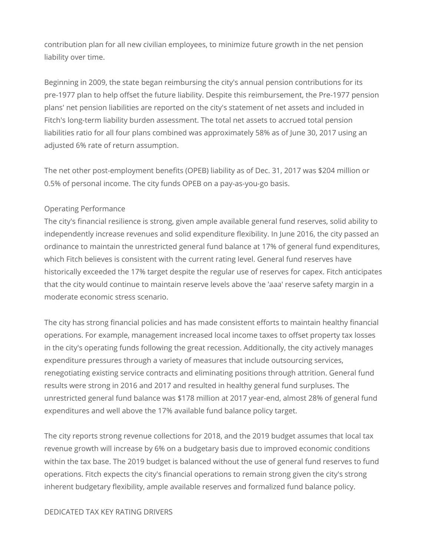contribution plan for all new civilian employees, to minimize future growth in the net pension liability over time.

Beginning in 2009, the state began reimbursing the city's annual pension contributions for its pre-1977 plan to help offset the future liability. Despite this reimbursement, the Pre-1977 pension plans' net pension liabilities are reported on the city's statement of net assets and included in Fitch's long-term liability burden assessment. The total net assets to accrued total pension liabilities ratio for all four plans combined was approximately 58% as of June 30, 2017 using an adjusted 6% rate of return assumption.

The net other post-employment benefits (OPEB) liability as of Dec. 31, 2017 was \$204 million or 0.5% of personal income. The city funds OPEB on a pay-as-you-go basis.

## Operating Performance

The city's financial resilience is strong, given ample available general fund reserves, solid ability to independently increase revenues and solid expenditure flexibility. In June 2016, the city passed an ordinance to maintain the unrestricted general fund balance at 17% of general fund expenditures, which Fitch believes is consistent with the current rating level. General fund reserves have historically exceeded the 17% target despite the regular use of reserves for capex. Fitch anticipates that the city would continue to maintain reserve levels above the 'aaa' reserve safety margin in a moderate economic stress scenario.

The city has strong financial policies and has made consistent efforts to maintain healthy financial operations. For example, management increased local income taxes to offset property tax losses in the city's operating funds following the great recession. Additionally, the city actively manages expenditure pressures through a variety of measures that include outsourcing services, renegotiating existing service contracts and eliminating positions through attrition. General fund results were strong in 2016 and 2017 and resulted in healthy general fund surpluses. The unrestricted general fund balance was \$178 million at 2017 year-end, almost 28% of general fund expenditures and well above the 17% available fund balance policy target.

The city reports strong revenue collections for 2018, and the 2019 budget assumes that local tax revenue growth will increase by 6% on a budgetary basis due to improved economic conditions within the tax base. The 2019 budget is balanced without the use of general fund reserves to fund operations. Fitch expects the city's financial operations to remain strong given the city's strong inherent budgetary flexibility, ample available reserves and formalized fund balance policy.

## DEDICATED TAX KEY RATING DRIVERS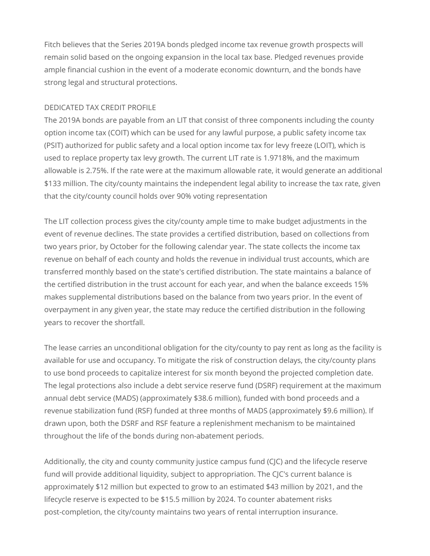Fitch believes that the Series 2019A bonds pledged income tax revenue growth prospects will remain solid based on the ongoing expansion in the local tax base. Pledged revenues provide ample financial cushion in the event of a moderate economic downturn, and the bonds have strong legal and structural protections.

#### DEDICATED TAX CREDIT PROFILE

The 2019A bonds are payable from an LIT that consist of three components including the county option income tax (COIT) which can be used for any lawful purpose, a public safety income tax (PSIT) authorized for public safety and a local option income tax for levy freeze (LOIT), which is used to replace property tax levy growth. The current LIT rate is 1.9718%, and the maximum allowable is 2.75%. If the rate were at the maximum allowable rate, it would generate an additional \$133 million. The city/county maintains the independent legal ability to increase the tax rate, given that the city/county council holds over 90% voting representation

The LIT collection process gives the city/county ample time to make budget adjustments in the event of revenue declines. The state provides a certified distribution, based on collections from two years prior, by October for the following calendar year. The state collects the income tax revenue on behalf of each county and holds the revenue in individual trust accounts, which are transferred monthly based on the state's certified distribution. The state maintains a balance of the certified distribution in the trust account for each year, and when the balance exceeds 15% makes supplemental distributions based on the balance from two years prior. In the event of overpayment in any given year, the state may reduce the certified distribution in the following years to recover the shortfall.

The lease carries an unconditional obligation for the city/county to pay rent as long as the facility is available for use and occupancy. To mitigate the risk of construction delays, the city/county plans to use bond proceeds to capitalize interest for six month beyond the projected completion date. The legal protections also include a debt service reserve fund (DSRF) requirement at the maximum annual debt service (MADS) (approximately \$38.6 million), funded with bond proceeds and a revenue stabilization fund (RSF) funded at three months of MADS (approximately \$9.6 million). If drawn upon, both the DSRF and RSF feature a replenishment mechanism to be maintained throughout the life of the bonds during non-abatement periods.

Additionally, the city and county community justice campus fund (CJC) and the lifecycle reserve fund will provide additional liquidity, subject to appropriation. The CJC's current balance is approximately \$12 million but expected to grow to an estimated \$43 million by 2021, and the lifecycle reserve is expected to be \$15.5 million by 2024. To counter abatement risks post-completion, the city/county maintains two years of rental interruption insurance.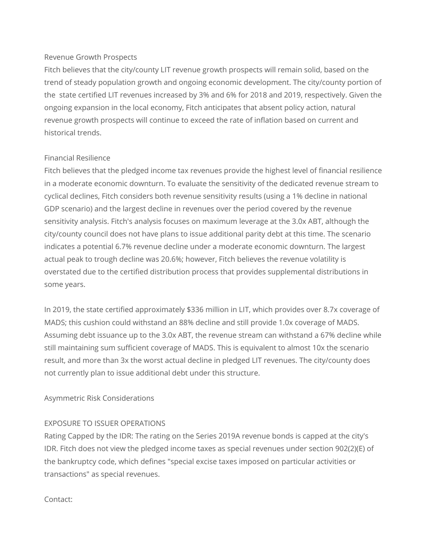## Revenue Growth Prospects

Fitch believes that the city/county LIT revenue growth prospects will remain solid, based on the trend of steady population growth and ongoing economic development. The city/county portion of the state certified LIT revenues increased by 3% and 6% for 2018 and 2019, respectively. Given the ongoing expansion in the local economy, Fitch anticipates that absent policy action, natural revenue growth prospects will continue to exceed the rate of inflation based on current and historical trends.

## Financial Resilience

Fitch believes that the pledged income tax revenues provide the highest level of financial resilience in a moderate economic downturn. To evaluate the sensitivity of the dedicated revenue stream to cyclical declines, Fitch considers both revenue sensitivity results (using a 1% decline in national GDP scenario) and the largest decline in revenues over the period covered by the revenue sensitivity analysis. Fitch's analysis focuses on maximum leverage at the 3.0x ABT, although the city/county council does not have plans to issue additional parity debt at this time. The scenario indicates a potential 6.7% revenue decline under a moderate economic downturn. The largest actual peak to trough decline was 20.6%; however, Fitch believes the revenue volatility is overstated due to the certified distribution process that provides supplemental distributions in some years.

In 2019, the state certified approximately \$336 million in LIT, which provides over 8.7x coverage of MADS; this cushion could withstand an 88% decline and still provide 1.0x coverage of MADS. Assuming debt issuance up to the 3.0x ABT, the revenue stream can withstand a 67% decline while still maintaining sum sufficient coverage of MADS. This is equivalent to almost 10x the scenario result, and more than 3x the worst actual decline in pledged LIT revenues. The city/county does not currently plan to issue additional debt under this structure.

# Asymmetric Risk Considerations

# EXPOSURE TO ISSUER OPERATIONS

Rating Capped by the IDR: The rating on the Series 2019A revenue bonds is capped at the city's IDR. Fitch does not view the pledged income taxes as special revenues under section 902(2)(E) of the bankruptcy code, which defines "special excise taxes imposed on particular activities or transactions" as special revenues.

## Contact: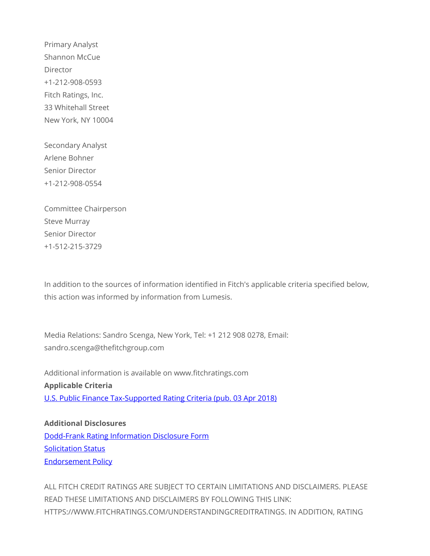Primary Analyst Shannon McCue Director +1-212-908-0593 Fitch Ratings, Inc. 33 Whitehall Street New York, NY 10004

Secondary Analyst Arlene Bohner Senior Director +1-212-908-0554

Committee Chairperson Steve Murray Senior Director +1-512-215-3729

In addition to the sources of information identified in Fitch's applicable criteria specified below, this action was informed by information from Lumesis.

Media Relations: Sandro Scenga, New York, Tel: +1 212 908 0278, Email: sandro.scenga@thefitchgroup.com

Additional information is available on www.fitchratings.com **Applicable Criteria** [U.S. Public Finance Tax-Supported Rating Criteria \(pub. 03 Apr 2018\)](/app.fitchconnect.com/search/research/article/RPT_10024656)

**Additional Disclosures** [Dodd-Frank Rating Information Disclosure Form](https://www.fitchratings.com/site/dodd-frank-disclosure/10064494) [Solicitation Status](https://www.fitchratings.com/site/pr/10064494#solicitation) [Endorsement Policy](https://www.fitchratings.com/regulatory)

ALL FITCH CREDIT RATINGS ARE SUBJECT TO CERTAIN LIMITATIONS AND DISCLAIMERS. PLEASE READ THESE LIMITATIONS AND DISCLAIMERS BY FOLLOWING THIS LINK: HTTPS://WWW.FITCHRATINGS.COM/UNDERSTANDINGCREDITRATINGS. IN ADDITION, RATING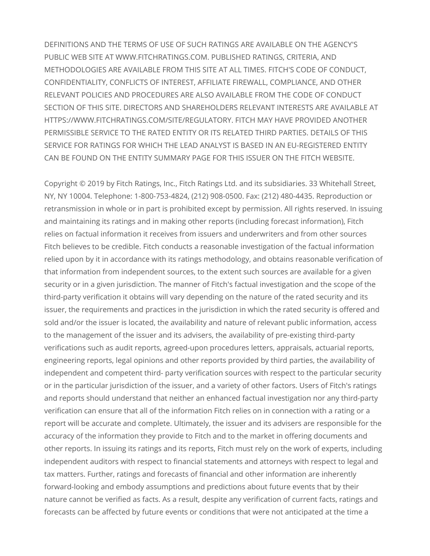DEFINITIONS AND THE TERMS OF USE OF SUCH RATINGS ARE AVAILABLE ON THE AGENCY'S PUBLIC WEB SITE AT WWW.FITCHRATINGS.COM. PUBLISHED RATINGS, CRITERIA, AND METHODOLOGIES ARE AVAILABLE FROM THIS SITE AT ALL TIMES. FITCH'S CODE OF CONDUCT, CONFIDENTIALITY, CONFLICTS OF INTEREST, AFFILIATE FIREWALL, COMPLIANCE, AND OTHER RELEVANT POLICIES AND PROCEDURES ARE ALSO AVAILABLE FROM THE CODE OF CONDUCT SECTION OF THIS SITE. DIRECTORS AND SHAREHOLDERS RELEVANT INTERESTS ARE AVAILABLE AT HTTPS://WWW.FITCHRATINGS.COM/SITE/REGULATORY. FITCH MAY HAVE PROVIDED ANOTHER PERMISSIBLE SERVICE TO THE RATED ENTITY OR ITS RELATED THIRD PARTIES. DETAILS OF THIS SERVICE FOR RATINGS FOR WHICH THE LEAD ANALYST IS BASED IN AN EU-REGISTERED ENTITY CAN BE FOUND ON THE ENTITY SUMMARY PAGE FOR THIS ISSUER ON THE FITCH WEBSITE.

Copyright © 2019 by Fitch Ratings, Inc., Fitch Ratings Ltd. and its subsidiaries. 33 Whitehall Street, NY, NY 10004. Telephone: 1-800-753-4824, (212) 908-0500. Fax: (212) 480-4435. Reproduction or retransmission in whole or in part is prohibited except by permission. All rights reserved. In issuing and maintaining its ratings and in making other reports (including forecast information), Fitch relies on factual information it receives from issuers and underwriters and from other sources Fitch believes to be credible. Fitch conducts a reasonable investigation of the factual information relied upon by it in accordance with its ratings methodology, and obtains reasonable verification of that information from independent sources, to the extent such sources are available for a given security or in a given jurisdiction. The manner of Fitch's factual investigation and the scope of the third-party verification it obtains will vary depending on the nature of the rated security and its issuer, the requirements and practices in the jurisdiction in which the rated security is offered and sold and/or the issuer is located, the availability and nature of relevant public information, access to the management of the issuer and its advisers, the availability of pre-existing third-party verifications such as audit reports, agreed-upon procedures letters, appraisals, actuarial reports, engineering reports, legal opinions and other reports provided by third parties, the availability of independent and competent third- party verification sources with respect to the particular security or in the particular jurisdiction of the issuer, and a variety of other factors. Users of Fitch's ratings and reports should understand that neither an enhanced factual investigation nor any third-party verification can ensure that all of the information Fitch relies on in connection with a rating or a report will be accurate and complete. Ultimately, the issuer and its advisers are responsible for the accuracy of the information they provide to Fitch and to the market in offering documents and other reports. In issuing its ratings and its reports, Fitch must rely on the work of experts, including independent auditors with respect to financial statements and attorneys with respect to legal and tax matters. Further, ratings and forecasts of financial and other information are inherently forward-looking and embody assumptions and predictions about future events that by their nature cannot be verified as facts. As a result, despite any verification of current facts, ratings and forecasts can be affected by future events or conditions that were not anticipated at the time a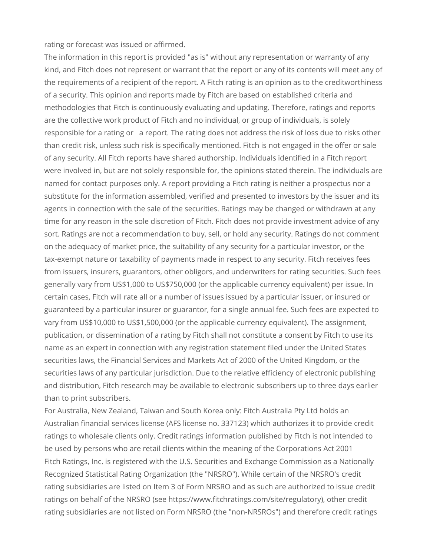rating or forecast was issued or affirmed.

The information in this report is provided "as is" without any representation or warranty of any kind, and Fitch does not represent or warrant that the report or any of its contents will meet any of the requirements of a recipient of the report. A Fitch rating is an opinion as to the creditworthiness of a security. This opinion and reports made by Fitch are based on established criteria and methodologies that Fitch is continuously evaluating and updating. Therefore, ratings and reports are the collective work product of Fitch and no individual, or group of individuals, is solely responsible for a rating or a report. The rating does not address the risk of loss due to risks other than credit risk, unless such risk is specifically mentioned. Fitch is not engaged in the offer or sale of any security. All Fitch reports have shared authorship. Individuals identified in a Fitch report were involved in, but are not solely responsible for, the opinions stated therein. The individuals are named for contact purposes only. A report providing a Fitch rating is neither a prospectus nor a substitute for the information assembled, verified and presented to investors by the issuer and its agents in connection with the sale of the securities. Ratings may be changed or withdrawn at any time for any reason in the sole discretion of Fitch. Fitch does not provide investment advice of any sort. Ratings are not a recommendation to buy, sell, or hold any security. Ratings do not comment on the adequacy of market price, the suitability of any security for a particular investor, or the tax-exempt nature or taxability of payments made in respect to any security. Fitch receives fees from issuers, insurers, guarantors, other obligors, and underwriters for rating securities. Such fees generally vary from US\$1,000 to US\$750,000 (or the applicable currency equivalent) per issue. In certain cases, Fitch will rate all or a number of issues issued by a particular issuer, or insured or guaranteed by a particular insurer or guarantor, for a single annual fee. Such fees are expected to vary from US\$10,000 to US\$1,500,000 (or the applicable currency equivalent). The assignment, publication, or dissemination of a rating by Fitch shall not constitute a consent by Fitch to use its name as an expert in connection with any registration statement filed under the United States securities laws, the Financial Services and Markets Act of 2000 of the United Kingdom, or the securities laws of any particular jurisdiction. Due to the relative efficiency of electronic publishing and distribution, Fitch research may be available to electronic subscribers up to three days earlier than to print subscribers.

For Australia, New Zealand, Taiwan and South Korea only: Fitch Australia Pty Ltd holds an Australian financial services license (AFS license no. 337123) which authorizes it to provide credit ratings to wholesale clients only. Credit ratings information published by Fitch is not intended to be used by persons who are retail clients within the meaning of the Corporations Act 2001 Fitch Ratings, Inc. is registered with the U.S. Securities and Exchange Commission as a Nationally Recognized Statistical Rating Organization (the "NRSRO"). While certain of the NRSRO's credit rating subsidiaries are listed on Item 3 of Form NRSRO and as such are authorized to issue credit ratings on behalf of the NRSRO (see https://www.fitchratings.com/site/regulatory), other credit rating subsidiaries are not listed on Form NRSRO (the "non-NRSROs") and therefore credit ratings